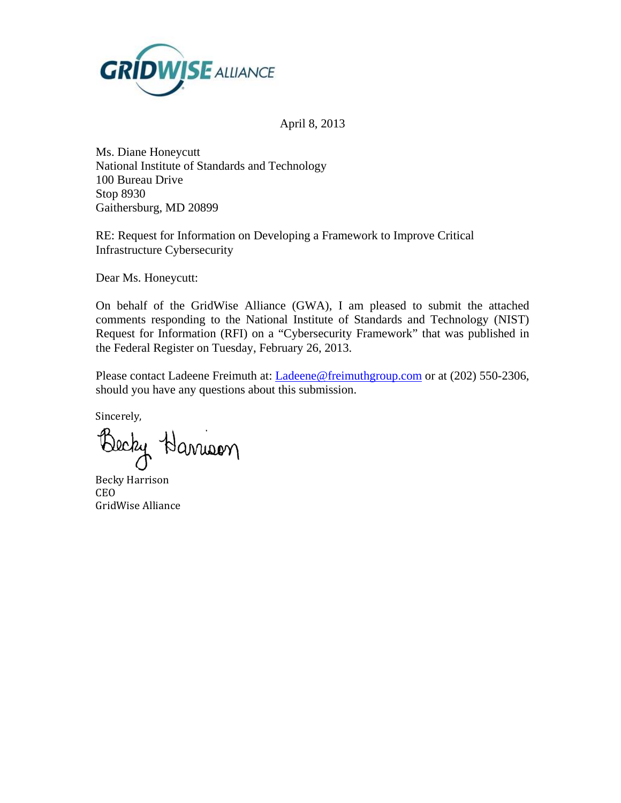

April 8, 2013

Ms. Diane Honeycutt National Institute of Standards and Technology 100 Bureau Drive Stop 8930 Gaithersburg, MD 20899

RE: Request for Information on Developing a Framework to Improve Critical Infrastructure Cybersecurity

Dear Ms. Honeycutt:

On behalf of the GridWise Alliance (GWA), I am pleased to submit the attached comments responding to the National Institute of Standards and Technology (NIST) Request for Information (RFI) on a "Cybersecurity Framework" that was published in the Federal Register on Tuesday, February 26, 2013.

Please contact Ladeene Freimuth at: [Ladeene@freimuthgroup.com](mailto:Ladeene@freimuthgroup.com) or at (202) 550-2306, should you have any questions about this submission.

Sincerely,

Becky Harrison

Becky Harrison CEO GridWise Alliance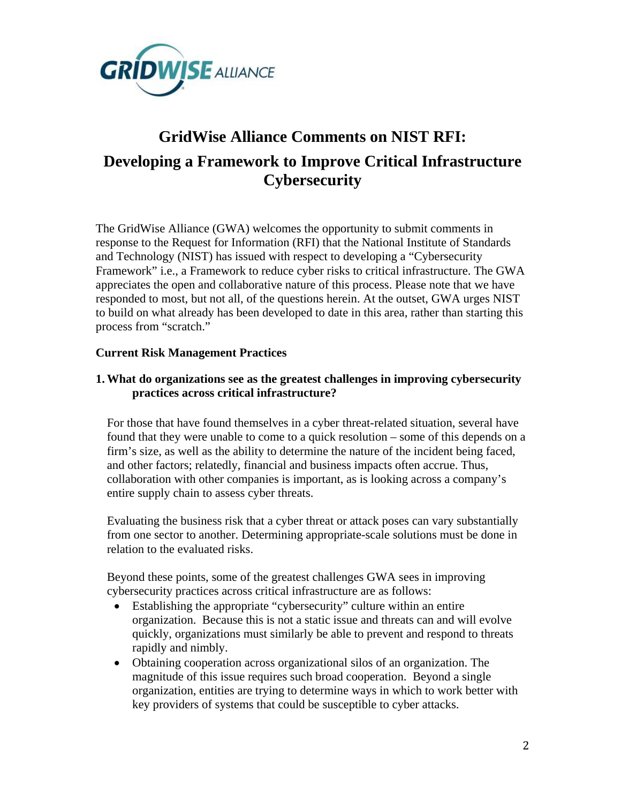

# **GridWise Alliance Comments on NIST RFI: Developing a Framework to Improve Critical Infrastructure Cybersecurity**

The GridWise Alliance (GWA) welcomes the opportunity to submit comments in response to the Request for Information (RFI) that the National Institute of Standards and Technology (NIST) has issued with respect to developing a "Cybersecurity Framework" i.e., a Framework to reduce cyber risks to critical infrastructure. The GWA appreciates the open and collaborative nature of this process. Please note that we have responded to most, but not all, of the questions herein. At the outset, GWA urges NIST to build on what already has been developed to date in this area, rather than starting this process from "scratch."

## **Current Risk Management Practices**

## **1.What do organizations see as the greatest challenges in improving cybersecurity practices across critical infrastructure?**

For those that have found themselves in a cyber threat-related situation, several have found that they were unable to come to a quick resolution – some of this depends on a firm's size, as well as the ability to determine the nature of the incident being faced, and other factors; relatedly, financial and business impacts often accrue. Thus, collaboration with other companies is important, as is looking across a company's entire supply chain to assess cyber threats.

Evaluating the business risk that a cyber threat or attack poses can vary substantially from one sector to another. Determining appropriate-scale solutions must be done in relation to the evaluated risks.

Beyond these points, some of the greatest challenges GWA sees in improving cybersecurity practices across critical infrastructure are as follows:

- Establishing the appropriate "cybersecurity" culture within an entire organization. Because this is not a static issue and threats can and will evolve quickly, organizations must similarly be able to prevent and respond to threats rapidly and nimbly.
- Obtaining cooperation across organizational silos of an organization. The magnitude of this issue requires such broad cooperation. Beyond a single organization, entities are trying to determine ways in which to work better with key providers of systems that could be susceptible to cyber attacks.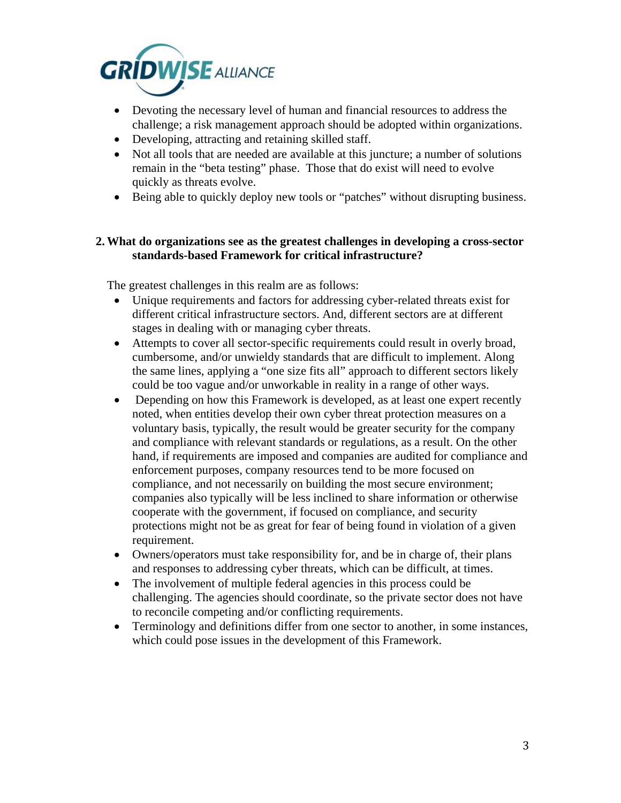

- Devoting the necessary level of human and financial resources to address the challenge; a risk management approach should be adopted within organizations.
- Developing, attracting and retaining skilled staff.
- Not all tools that are needed are available at this juncture; a number of solutions remain in the "beta testing" phase. Those that do exist will need to evolve quickly as threats evolve.
- Being able to quickly deploy new tools or "patches" without disrupting business.

## **2.What do organizations see as the greatest challenges in developing a cross-sector standards-based Framework for critical infrastructure?**

The greatest challenges in this realm are as follows:

- Unique requirements and factors for addressing cyber-related threats exist for different critical infrastructure sectors. And, different sectors are at different stages in dealing with or managing cyber threats.
- Attempts to cover all sector-specific requirements could result in overly broad, cumbersome, and/or unwieldy standards that are difficult to implement. Along the same lines, applying a "one size fits all" approach to different sectors likely could be too vague and/or unworkable in reality in a range of other ways.
- Depending on how this Framework is developed, as at least one expert recently noted, when entities develop their own cyber threat protection measures on a voluntary basis, typically, the result would be greater security for the company and compliance with relevant standards or regulations, as a result. On the other hand, if requirements are imposed and companies are audited for compliance and enforcement purposes, company resources tend to be more focused on compliance, and not necessarily on building the most secure environment; companies also typically will be less inclined to share information or otherwise cooperate with the government, if focused on compliance, and security protections might not be as great for fear of being found in violation of a given requirement.
- Owners/operators must take responsibility for, and be in charge of, their plans and responses to addressing cyber threats, which can be difficult, at times.
- The involvement of multiple federal agencies in this process could be challenging. The agencies should coordinate, so the private sector does not have to reconcile competing and/or conflicting requirements.
- Terminology and definitions differ from one sector to another, in some instances, which could pose issues in the development of this Framework.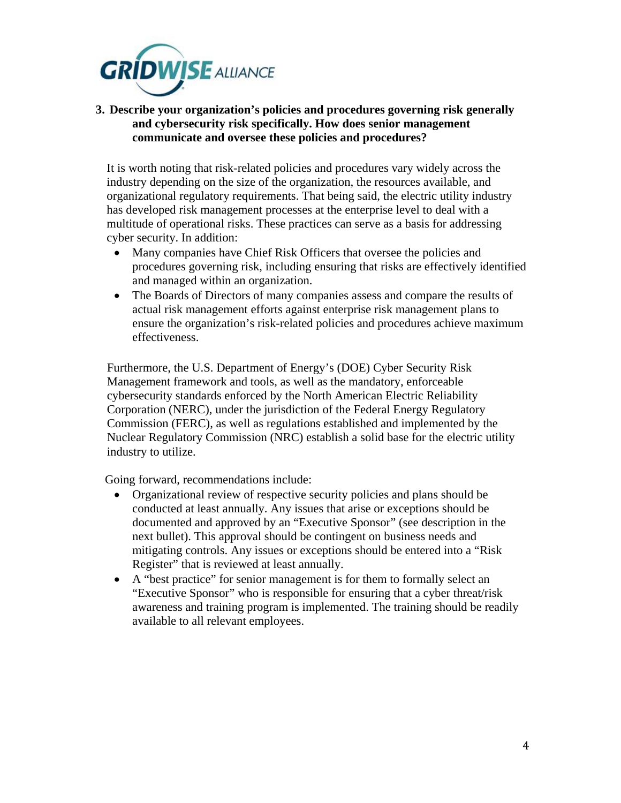

**3. Describe your organization's policies and procedures governing risk generally and cybersecurity risk specifically. How does senior management communicate and oversee these policies and procedures?** 

It is worth noting that risk-related policies and procedures vary widely across the industry depending on the size of the organization, the resources available, and organizational regulatory requirements. That being said, the electric utility industry has developed risk management processes at the enterprise level to deal with a multitude of operational risks. These practices can serve as a basis for addressing cyber security. In addition:

- Many companies have Chief Risk Officers that oversee the policies and procedures governing risk, including ensuring that risks are effectively identified and managed within an organization.
- The Boards of Directors of many companies assess and compare the results of actual risk management efforts against enterprise risk management plans to ensure the organization's risk-related policies and procedures achieve maximum effectiveness.

Furthermore, the U.S. Department of Energy's (DOE) Cyber Security Risk Management framework and tools, as well as the mandatory, enforceable cybersecurity standards enforced by the North American Electric Reliability Corporation (NERC), under the jurisdiction of the Federal Energy Regulatory Commission (FERC), as well as regulations established and implemented by the Nuclear Regulatory Commission (NRC) establish a solid base for the electric utility industry to utilize.

Going forward, recommendations include:

- Organizational review of respective security policies and plans should be conducted at least annually. Any issues that arise or exceptions should be documented and approved by an "Executive Sponsor" (see description in the next bullet). This approval should be contingent on business needs and mitigating controls. Any issues or exceptions should be entered into a "Risk Register" that is reviewed at least annually.
- A "best practice" for senior management is for them to formally select an "Executive Sponsor" who is responsible for ensuring that a cyber threat/risk awareness and training program is implemented. The training should be readily available to all relevant employees.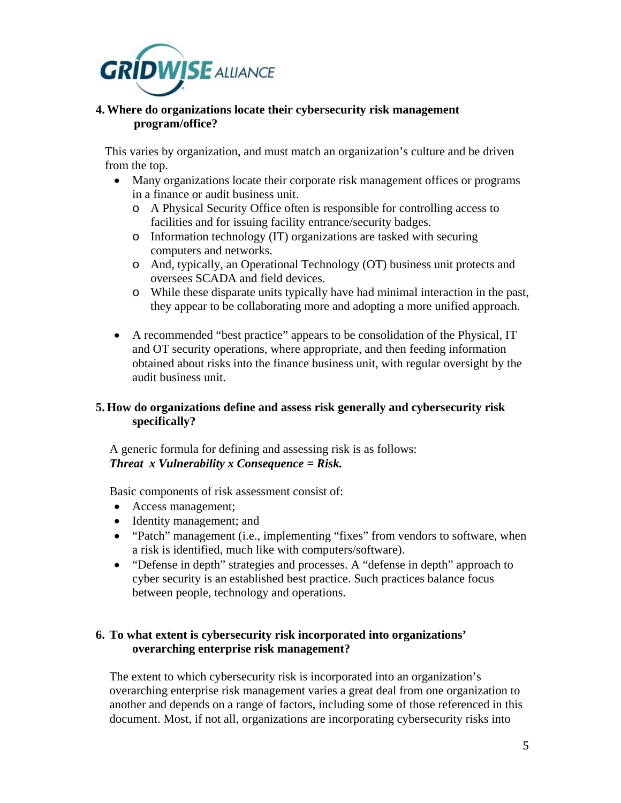

#### **4.Where do organizations locate their cybersecurity risk management program/office?**

This varies by organization, and must match an organization's culture and be driven from the top.

- Many organizations locate their corporate risk management offices or programs in a finance or audit business unit.
	- o A Physical Security Office often is responsible for controlling access to facilities and for issuing facility entrance/security badges.
	- o Information technology (IT) organizations are tasked with securing computers and networks.
	- o And, typically, an Operational Technology (OT) business unit protects and oversees SCADA and field devices.
	- o While these disparate units typically have had minimal interaction in the past, they appear to be collaborating more and adopting a more unified approach.
- A recommended "best practice" appears to be consolidation of the Physical, IT and OT security operations, where appropriate, and then feeding information obtained about risks into the finance business unit, with regular oversight by the audit business unit.

# **5. How do organizations define and assess risk generally and cybersecurity risk specifically?**

A generic formula for defining and assessing risk is as follows: *Threat x Vulnerability x Consequence = Risk.*

Basic components of risk assessment consist of:

- Access management;
- Identity management; and
- "Patch" management (i.e., implementing "fixes" from vendors to software, when a risk is identified, much like with computers/software).
- "Defense in depth" strategies and processes. A "defense in depth" approach to cyber security is an established best practice. Such practices balance focus between people, technology and operations.

# **6. To what extent is cybersecurity risk incorporated into organizations' overarching enterprise risk management?**

The extent to which cybersecurity risk is incorporated into an organization's overarching enterprise risk management varies a great deal from one organization to another and depends on a range of factors, including some of those referenced in this document. Most, if not all, organizations are incorporating cybersecurity risks into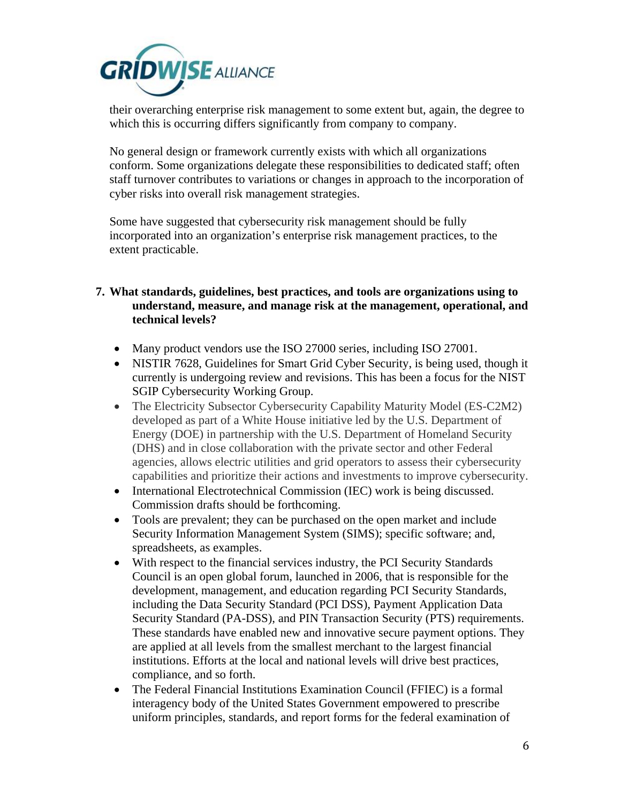

their overarching enterprise risk management to some extent but, again, the degree to which this is occurring differs significantly from company to company.

No general design or framework currently exists with which all organizations conform. Some organizations delegate these responsibilities to dedicated staff; often staff turnover contributes to variations or changes in approach to the incorporation of cyber risks into overall risk management strategies.

Some have suggested that cybersecurity risk management should be fully incorporated into an organization's enterprise risk management practices, to the extent practicable.

- **7. What standards, guidelines, best practices, and tools are organizations using to understand, measure, and manage risk at the management, operational, and technical levels?** 
	- Many product vendors use the ISO 27000 series, including ISO 27001.
	- NISTIR 7628, Guidelines for Smart Grid Cyber Security, is being used, though it currently is undergoing review and revisions. This has been a focus for the NIST SGIP Cybersecurity Working Group.
	- The Electricity Subsector Cybersecurity Capability Maturity Model (ES-C2M2) developed as part of a White House initiative led by the U.S. Department of Energy (DOE) in partnership with the U.S. Department of Homeland Security (DHS) and in close collaboration with the private sector and other Federal agencies, allows electric utilities and grid operators to assess their cybersecurity capabilities and prioritize their actions and investments to improve cybersecurity.
	- International Electrotechnical Commission (IEC) work is being discussed. Commission drafts should be forthcoming.
	- Tools are prevalent; they can be purchased on the open market and include Security Information Management System (SIMS); specific software; and, spreadsheets, as examples.
	- With respect to the financial services industry, the PCI Security Standards Council is an open global forum, launched in 2006, that is responsible for the development, management, and education regarding PCI Security Standards, including the [Data Security Standard \(PCI DSS\),](https://www.pcisecuritystandards.org/security_standards/documents.php?document=pci_dss_v2-0%23pci_dss_v2-0) [Payment Application Data](https://www.pcisecuritystandards.org/security_standards/documents.php?document=pci_pa_dss%23pci_pa_dss)  [Security Standard \(PA-DSS\),](https://www.pcisecuritystandards.org/security_standards/documents.php?document=pci_pa_dss%23pci_pa_dss) and [PIN Transaction Security \(PTS\)](https://www.pcisecuritystandards.org/security_standards/documents.php?document=PTS%20Program%20Guide%20FINAL%201%201%23PTS%20Program%20Guide%20FINAL%201%201) requirements. These standards have enabled new and innovative secure payment options. They are applied at all levels from the smallest merchant to the largest financial institutions. Efforts at the local and national levels will drive best practices, compliance, and so forth.
	- The Federal Financial Institutions Examination Council (FFIEC) is a formal interagency body of the [United States Government](http://en.wikipedia.org/wiki/United_States_government) empowered to prescribe uniform principles, standards, and report forms for the federal examination of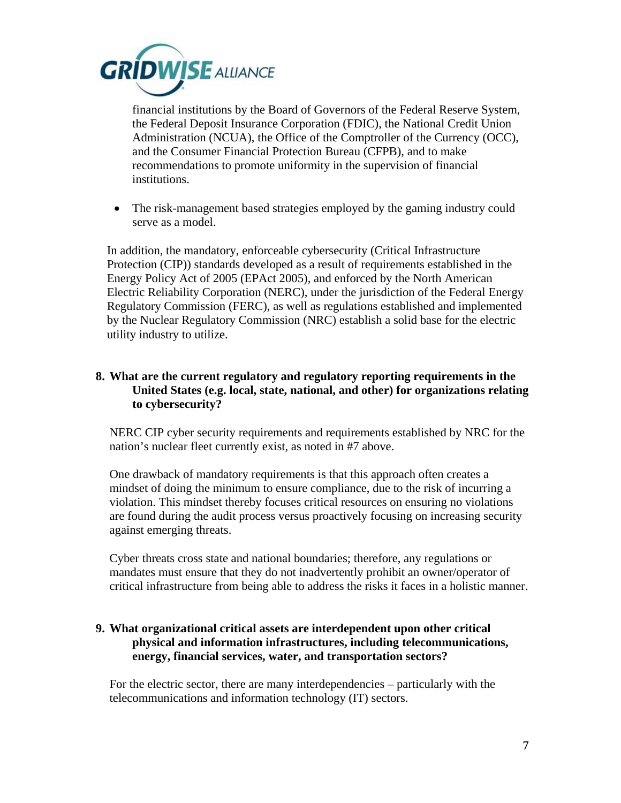

[financial institutions](http://en.wikipedia.org/wiki/Financial_institution) by the [Board of Governors of the Federal Reserve System,](http://en.wikipedia.org/wiki/Board_of_Governors_of_the_Federal_Reserve_System) the [Federal Deposit Insurance Corporation](http://en.wikipedia.org/wiki/Federal_Deposit_Insurance_Corporation) (FDIC), the [National Credit Union](http://en.wikipedia.org/wiki/National_Credit_Union_Administration)  [Administration](http://en.wikipedia.org/wiki/National_Credit_Union_Administration) (NCUA), the [Office of the Comptroller of the Currency](http://en.wikipedia.org/wiki/Office_of_the_Comptroller_of_the_Currency) (OCC), and the [Consumer Financial Protection Bureau](http://en.wikipedia.org/wiki/Consumer_Financial_Protection_Bureau) (CFPB), and to make recommendations to promote uniformity in the supervision of financial institutions.

• The risk-management based strategies employed by the gaming industry could serve as a model.

In addition, the mandatory, enforceable cybersecurity (Critical Infrastructure Protection (CIP)) standards developed as a result of requirements established in the Energy Policy Act of 2005 (EPAct 2005), and enforced by the North American Electric Reliability Corporation (NERC), under the jurisdiction of the Federal Energy Regulatory Commission (FERC), as well as regulations established and implemented by the Nuclear Regulatory Commission (NRC) establish a solid base for the electric utility industry to utilize.

## **8. What are the current regulatory and regulatory reporting requirements in the United States (e.g. local, state, national, and other) for organizations relating to cybersecurity?**

NERC CIP cyber security requirements and requirements established by NRC for the nation's nuclear fleet currently exist, as noted in #7 above.

One drawback of mandatory requirements is that this approach often creates a mindset of doing the minimum to ensure compliance, due to the risk of incurring a violation. This mindset thereby focuses critical resources on ensuring no violations are found during the audit process versus proactively focusing on increasing security against emerging threats.

Cyber threats cross state and national boundaries; therefore, any regulations or mandates must ensure that they do not inadvertently prohibit an owner/operator of critical infrastructure from being able to address the risks it faces in a holistic manner.

## **9. What organizational critical assets are interdependent upon other critical physical and information infrastructures, including telecommunications, energy, financial services, water, and transportation sectors?**

For the electric sector, there are many interdependencies – particularly with the telecommunications and information technology (IT) sectors.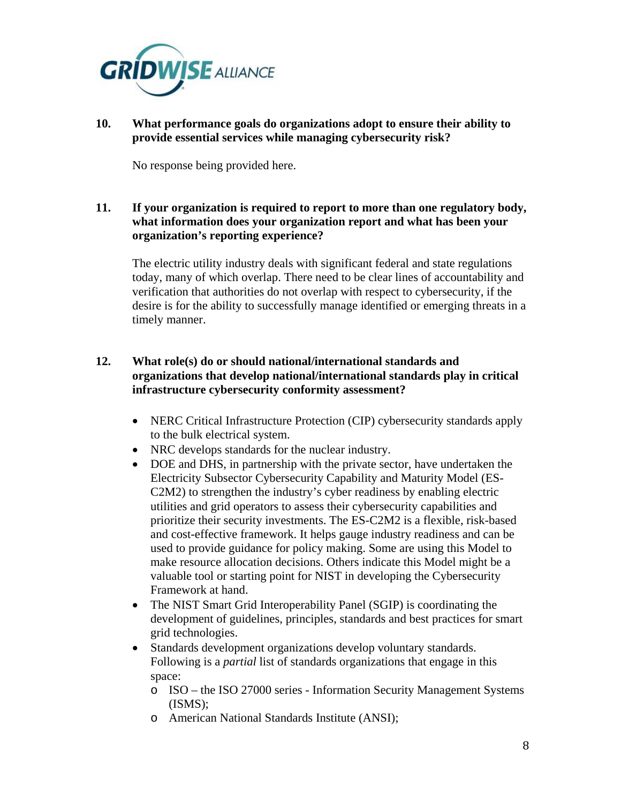

**10. What performance goals do organizations adopt to ensure their ability to provide essential services while managing cybersecurity risk?**

No response being provided here.

**11. If your organization is required to report to more than one regulatory body, what information does your organization report and what has been your organization's reporting experience?**

The electric utility industry deals with significant federal and state regulations today, many of which overlap. There need to be clear lines of accountability and verification that authorities do not overlap with respect to cybersecurity, if the desire is for the ability to successfully manage identified or emerging threats in a timely manner.

# **12. What role(s) do or should national/international standards and organizations that develop national/international standards play in critical infrastructure cybersecurity conformity assessment?**

- NERC Critical Infrastructure Protection (CIP) cybersecurity standards apply to the bulk electrical system.
- NRC develops standards for the nuclear industry.
- DOE and DHS, in partnership with the private sector, have undertaken the Electricity Subsector Cybersecurity Capability and Maturity Model (ES-C2M2) to strengthen the industry's cyber readiness by enabling electric utilities and grid operators to assess their cybersecurity capabilities and prioritize their security investments. The ES-C2M2 is a flexible, risk-based and cost-effective framework. It helps gauge industry readiness and can be used to provide guidance for policy making. Some are using this Model to make resource allocation decisions. Others indicate this Model might be a valuable tool or starting point for NIST in developing the Cybersecurity Framework at hand.
- The NIST Smart Grid Interoperability Panel (SGIP) is coordinating the development of guidelines, principles, standards and best practices for smart grid technologies.
- Standards development organizations develop voluntary standards. Following is a *partial* list of standards organizations that engage in this space:
	- o ISO the ISO 27000 series Information Security Management Systems (ISMS);
	- o American National Standards Institute (ANSI);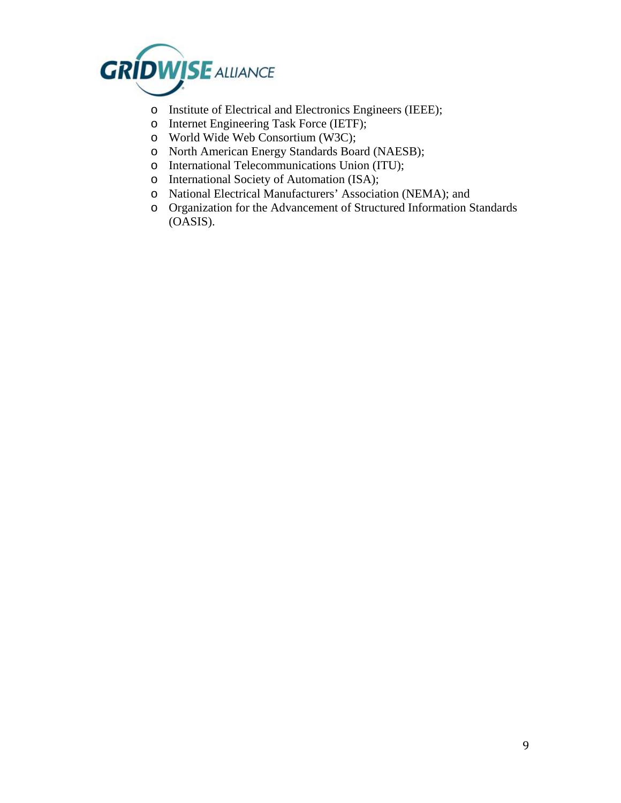

- o Institute of Electrical and Electronics Engineers (IEEE);
- o Internet Engineering Task Force (IETF);
- o World Wide Web Consortium (W3C);
- o North American Energy Standards Board (NAESB);
- o International Telecommunications Union (ITU);
- o International Society of Automation (ISA);
- o National Electrical Manufacturers' Association (NEMA); and
- o Organization for the Advancement of Structured Information Standards (OASIS).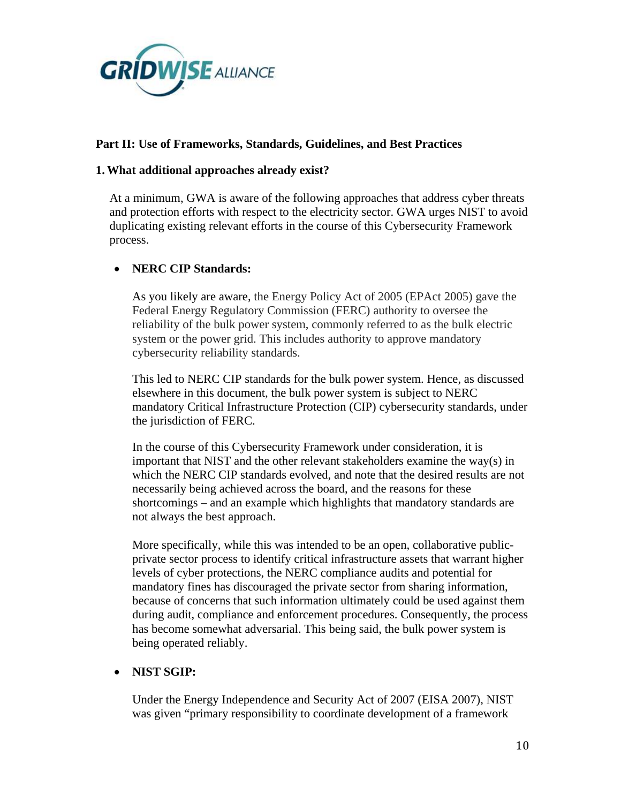

## **Part II: Use of Frameworks, Standards, Guidelines, and Best Practices**

#### **1.What additional approaches already exist?**

At a minimum, GWA is aware of the following approaches that address cyber threats and protection efforts with respect to the electricity sector. GWA urges NIST to avoid duplicating existing relevant efforts in the course of this Cybersecurity Framework process.

#### • **NERC CIP Standards:**

As you likely are aware, the Energy Policy Act of 2005 (EPAct 2005) gave the Federal Energy Regulatory Commission (FERC) authority to oversee the reliability of the bulk power system, commonly referred to as the bulk electric system or the power grid. This includes authority to approve mandatory cybersecurity reliability standards.

This led to NERC CIP standards for the bulk power system. Hence, as discussed elsewhere in this document, the bulk power system is subject to NERC mandatory Critical Infrastructure Protection (CIP) cybersecurity standards, under the jurisdiction of FERC.

In the course of this Cybersecurity Framework under consideration, it is important that NIST and the other relevant stakeholders examine the way(s) in which the NERC CIP standards evolved, and note that the desired results are not necessarily being achieved across the board, and the reasons for these shortcomings – and an example which highlights that mandatory standards are not always the best approach.

More specifically, while this was intended to be an open, collaborative publicprivate sector process to identify critical infrastructure assets that warrant higher levels of cyber protections, the NERC compliance audits and potential for mandatory fines has discouraged the private sector from sharing information, because of concerns that such information ultimately could be used against them during audit, compliance and enforcement procedures. Consequently, the process has become somewhat adversarial. This being said, the bulk power system is being operated reliably.

#### • **NIST SGIP:**

Under the Energy Independence and Security Act of 2007 (EISA 2007), NIST was given "primary responsibility to coordinate development of a framework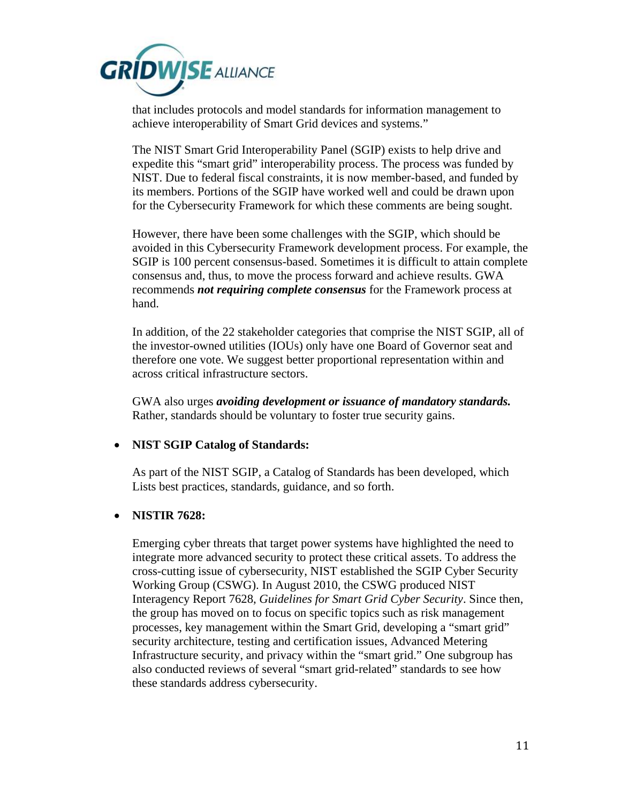

that includes protocols and model standards for information management to achieve interoperability of Smart Grid devices and systems."

The NIST Smart Grid Interoperability Panel (SGIP) exists to help drive and expedite this "smart grid" interoperability process. The process was funded by NIST. Due to federal fiscal constraints, it is now member-based, and funded by its members. Portions of the SGIP have worked well and could be drawn upon for the Cybersecurity Framework for which these comments are being sought.

However, there have been some challenges with the SGIP, which should be avoided in this Cybersecurity Framework development process. For example, the SGIP is 100 percent consensus-based. Sometimes it is difficult to attain complete consensus and, thus, to move the process forward and achieve results. GWA recommends *not requiring complete consensus* for the Framework process at hand.

In addition, of the 22 stakeholder categories that comprise the NIST SGIP, all of the investor-owned utilities (IOUs) only have one Board of Governor seat and therefore one vote. We suggest better proportional representation within and across critical infrastructure sectors.

GWA also urges *avoiding development or issuance of mandatory standards.* Rather, standards should be voluntary to foster true security gains.

#### • **NIST SGIP Catalog of Standards:**

As part of the NIST SGIP, a Catalog of Standards has been developed, which Lists best practices, standards, guidance, and so forth.

#### • **NISTIR 7628:**

Emerging cyber threats that target power systems have highlighted the need to integrate more advanced security to protect these critical assets. To address the cross-cutting issue of cybersecurity, NIST established the SGIP Cyber Security Working Group (CSWG). In August 2010, the CSWG produced NIST Interagency Report 7628, *Guidelines for Smart Grid Cyber Security*. Since then, the group has moved on to focus on specific topics such as risk management processes, key management within the Smart Grid, developing a "smart grid" security architecture, testing and certification issues, Advanced Metering Infrastructure security, and privacy within the "smart grid." One subgroup has also conducted reviews of several "smart grid-related" standards to see how these standards address cybersecurity.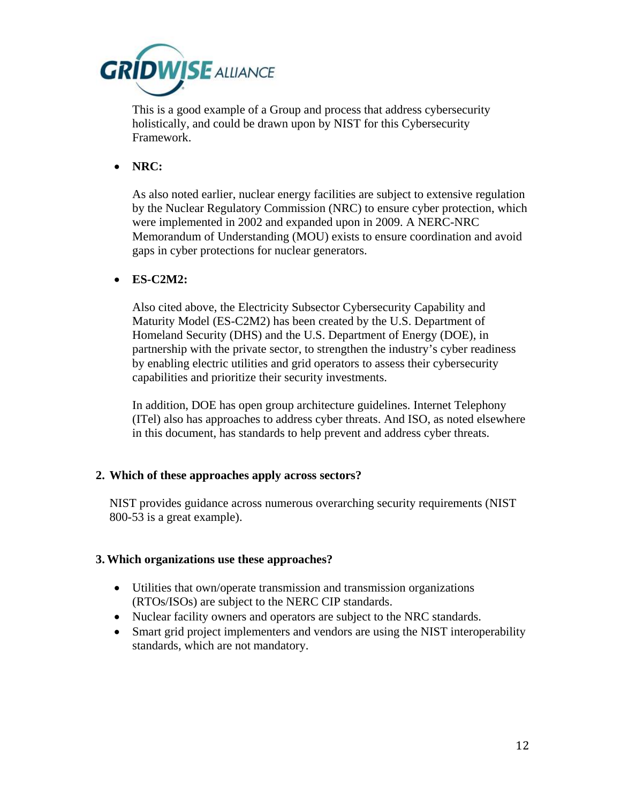

This is a good example of a Group and process that address cybersecurity holistically, and could be drawn upon by NIST for this Cybersecurity Framework.

• **NRC:**

As also noted earlier, nuclear energy facilities are subject to extensive regulation by the Nuclear Regulatory Commission (NRC) to ensure cyber protection, which were implemented in 2002 and expanded upon in 2009. A NERC-NRC Memorandum of Understanding (MOU) exists to ensure coordination and avoid gaps in cyber protections for nuclear generators.

• **ES-C2M2:**

Also cited above, the Electricity Subsector Cybersecurity Capability and Maturity Model (ES-C2M2) has been created by the U.S. Department of Homeland Security (DHS) and the U.S. Department of Energy (DOE), in partnership with the private sector, to strengthen the industry's cyber readiness by enabling electric utilities and grid operators to assess their cybersecurity capabilities and prioritize their security investments.

In addition, DOE has open group architecture guidelines. Internet Telephony (ITel) also has approaches to address cyber threats. And ISO, as noted elsewhere in this document, has standards to help prevent and address cyber threats.

#### **2. Which of these approaches apply across sectors?**

NIST provides guidance across numerous overarching security requirements (NIST 800-53 is a great example).

#### **3.Which organizations use these approaches?**

- Utilities that own/operate transmission and transmission organizations (RTOs/ISOs) are subject to the NERC CIP standards.
- Nuclear facility owners and operators are subject to the NRC standards.
- Smart grid project implementers and vendors are using the NIST interoperability standards, which are not mandatory.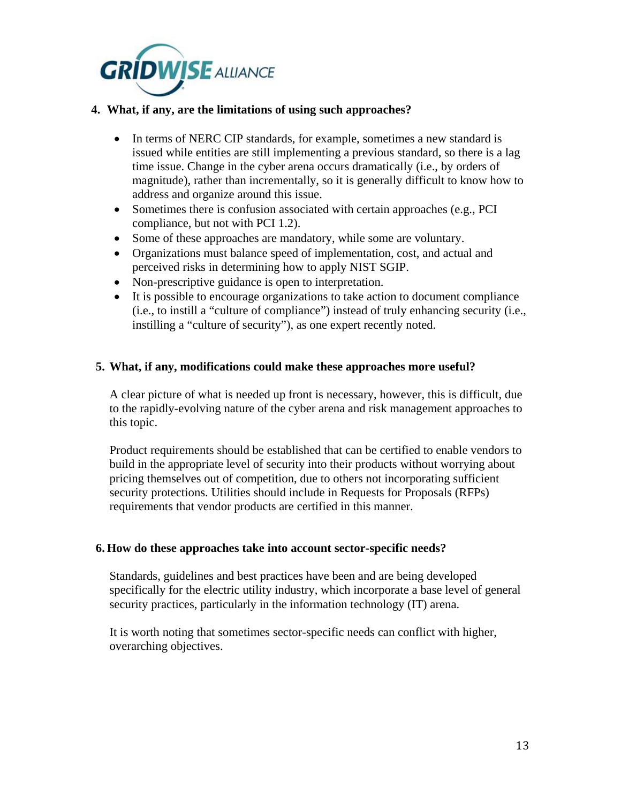

## **4. What, if any, are the limitations of using such approaches?**

- In terms of NERC CIP standards, for example, sometimes a new standard is issued while entities are still implementing a previous standard, so there is a lag time issue. Change in the cyber arena occurs dramatically (i.e., by orders of magnitude), rather than incrementally, so it is generally difficult to know how to address and organize around this issue.
- Sometimes there is confusion associated with certain approaches (e.g., PCI) compliance, but not with PCI 1.2).
- Some of these approaches are mandatory, while some are voluntary.
- Organizations must balance speed of implementation, cost, and actual and perceived risks in determining how to apply NIST SGIP.
- Non-prescriptive guidance is open to interpretation.
- It is possible to encourage organizations to take action to document compliance (i.e., to instill a "culture of compliance") instead of truly enhancing security (i.e., instilling a "culture of security"), as one expert recently noted.

## **5. What, if any, modifications could make these approaches more useful?**

A clear picture of what is needed up front is necessary, however, this is difficult, due to the rapidly-evolving nature of the cyber arena and risk management approaches to this topic.

Product requirements should be established that can be certified to enable vendors to build in the appropriate level of security into their products without worrying about pricing themselves out of competition, due to others not incorporating sufficient security protections. Utilities should include in Requests for Proposals (RFPs) requirements that vendor products are certified in this manner.

#### **6. How do these approaches take into account sector-specific needs?**

Standards, guidelines and best practices have been and are being developed specifically for the electric utility industry, which incorporate a base level of general security practices, particularly in the information technology (IT) arena.

It is worth noting that sometimes sector-specific needs can conflict with higher, overarching objectives.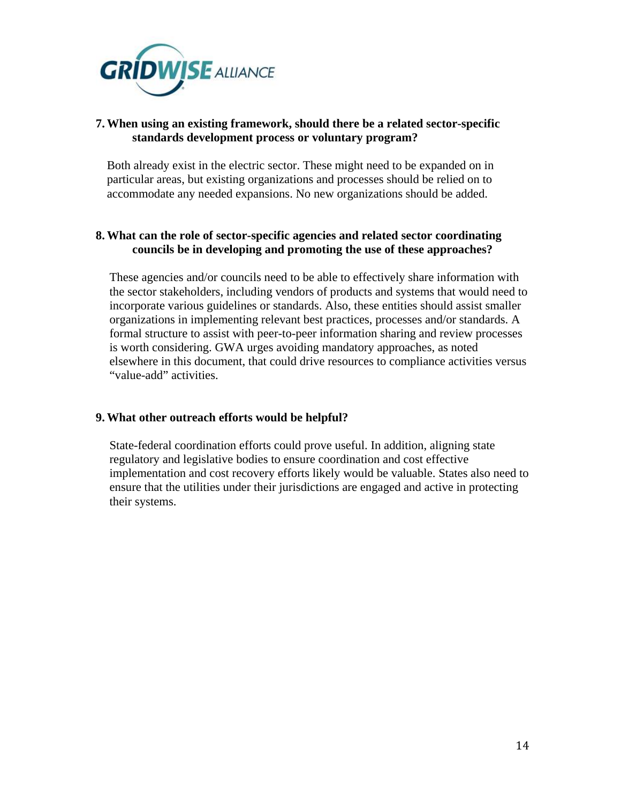

## **7.When using an existing framework, should there be a related sector-specific standards development process or voluntary program?**

Both already exist in the electric sector. These might need to be expanded on in particular areas, but existing organizations and processes should be relied on to accommodate any needed expansions. No new organizations should be added.

# **8.What can the role of sector-specific agencies and related sector coordinating councils be in developing and promoting the use of these approaches?**

These agencies and/or councils need to be able to effectively share information with the sector stakeholders, including vendors of products and systems that would need to incorporate various guidelines or standards. Also, these entities should assist smaller organizations in implementing relevant best practices, processes and/or standards. A formal structure to assist with peer-to-peer information sharing and review processes is worth considering. GWA urges avoiding mandatory approaches, as noted elsewhere in this document, that could drive resources to compliance activities versus "value-add" activities.

#### **9.What other outreach efforts would be helpful?**

State-federal coordination efforts could prove useful. In addition, aligning state regulatory and legislative bodies to ensure coordination and cost effective implementation and cost recovery efforts likely would be valuable. States also need to ensure that the utilities under their jurisdictions are engaged and active in protecting their systems.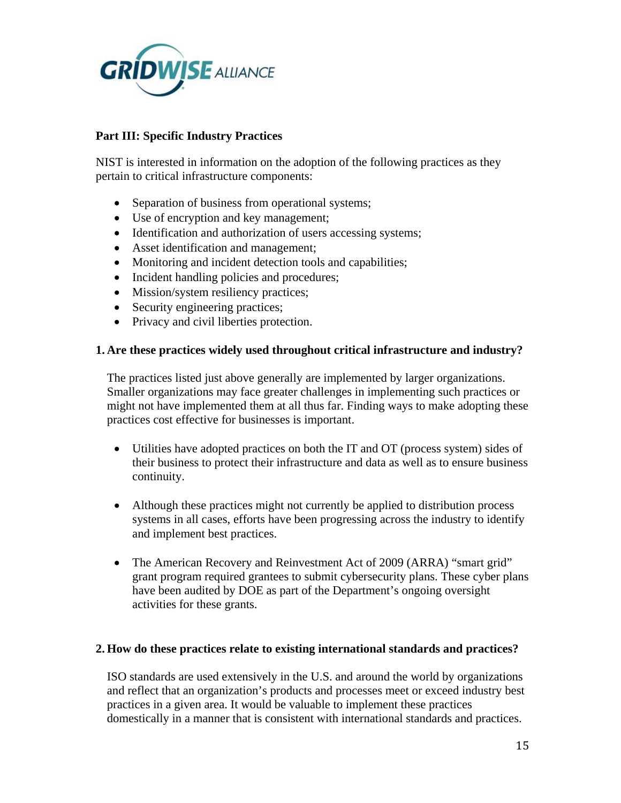

# **Part III: Specific Industry Practices**

NIST is interested in information on the adoption of the following practices as they pertain to critical infrastructure components:

- Separation of business from operational systems;
- Use of encryption and key management;
- Identification and authorization of users accessing systems;
- Asset identification and management;
- Monitoring and incident detection tools and capabilities;
- Incident handling policies and procedures;
- Mission/system resiliency practices;
- Security engineering practices;
- Privacy and civil liberties protection.

## **1. Are these practices widely used throughout critical infrastructure and industry?**

The practices listed just above generally are implemented by larger organizations. Smaller organizations may face greater challenges in implementing such practices or might not have implemented them at all thus far. Finding ways to make adopting these practices cost effective for businesses is important.

- Utilities have adopted practices on both the IT and OT (process system) sides of their business to protect their infrastructure and data as well as to ensure business continuity.
- Although these practices might not currently be applied to distribution process systems in all cases, efforts have been progressing across the industry to identify and implement best practices.
- The American Recovery and Reinvestment Act of 2009 (ARRA) "smart grid" grant program required grantees to submit cybersecurity plans. These cyber plans have been audited by DOE as part of the Department's ongoing oversight activities for these grants.

# **2. How do these practices relate to existing international standards and practices?**

ISO standards are used extensively in the U.S. and around the world by organizations and reflect that an organization's products and processes meet or exceed industry best practices in a given area. It would be valuable to implement these practices domestically in a manner that is consistent with international standards and practices.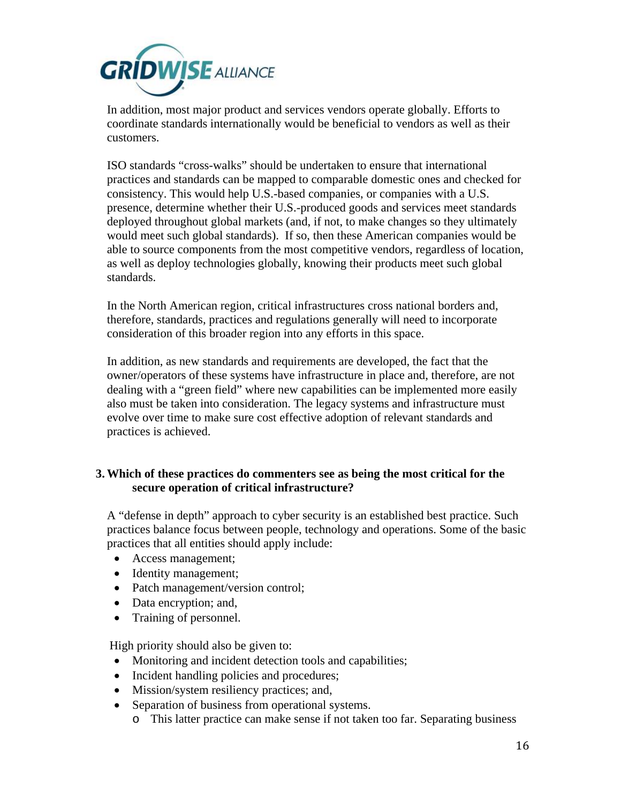

In addition, most major product and services vendors operate globally. Efforts to coordinate standards internationally would be beneficial to vendors as well as their customers.

ISO standards "cross-walks" should be undertaken to ensure that international practices and standards can be mapped to comparable domestic ones and checked for consistency. This would help U.S.-based companies, or companies with a U.S. presence, determine whether their U.S.-produced goods and services meet standards deployed throughout global markets (and, if not, to make changes so they ultimately would meet such global standards). If so, then these American companies would be able to source components from the most competitive vendors, regardless of location, as well as deploy technologies globally, knowing their products meet such global standards.

In the North American region, critical infrastructures cross national borders and, therefore, standards, practices and regulations generally will need to incorporate consideration of this broader region into any efforts in this space.

In addition, as new standards and requirements are developed, the fact that the owner/operators of these systems have infrastructure in place and, therefore, are not dealing with a "green field" where new capabilities can be implemented more easily also must be taken into consideration. The legacy systems and infrastructure must evolve over time to make sure cost effective adoption of relevant standards and practices is achieved.

## **3.Which of these practices do commenters see as being the most critical for the secure operation of critical infrastructure?**

A "defense in depth" approach to cyber security is an established best practice. Such practices balance focus between people, technology and operations. Some of the basic practices that all entities should apply include:

- Access management;
- Identity management;
- Patch management/version control;
- Data encryption; and,
- Training of personnel.

High priority should also be given to:

- Monitoring and incident detection tools and capabilities;
- Incident handling policies and procedures;
- Mission/system resiliency practices; and,
- Separation of business from operational systems.
	- o This latter practice can make sense if not taken too far. Separating business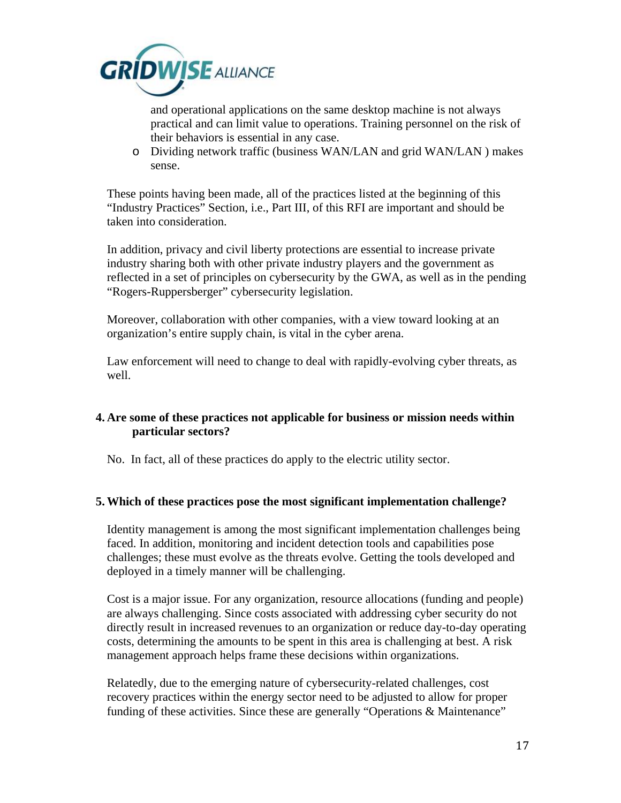

and operational applications on the same desktop machine is not always practical and can limit value to operations. Training personnel on the risk of their behaviors is essential in any case.

o Dividing network traffic (business WAN/LAN and grid WAN/LAN ) makes sense.

These points having been made, all of the practices listed at the beginning of this "Industry Practices" Section, i.e., Part III, of this RFI are important and should be taken into consideration.

In addition, privacy and civil liberty protections are essential to increase private industry sharing both with other private industry players and the government as reflected in a set of principles on cybersecurity by the GWA, as well as in the pending "Rogers-Ruppersberger" cybersecurity legislation.

Moreover, collaboration with other companies, with a view toward looking at an organization's entire supply chain, is vital in the cyber arena.

Law enforcement will need to change to deal with rapidly-evolving cyber threats, as well.

# **4. Are some of these practices not applicable for business or mission needs within particular sectors?**

No. In fact, all of these practices do apply to the electric utility sector.

# **5.Which of these practices pose the most significant implementation challenge?**

Identity management is among the most significant implementation challenges being faced. In addition, monitoring and incident detection tools and capabilities pose challenges; these must evolve as the threats evolve. Getting the tools developed and deployed in a timely manner will be challenging.

Cost is a major issue. For any organization, resource allocations (funding and people) are always challenging. Since costs associated with addressing cyber security do not directly result in increased revenues to an organization or reduce day-to-day operating costs, determining the amounts to be spent in this area is challenging at best. A risk management approach helps frame these decisions within organizations.

Relatedly, due to the emerging nature of cybersecurity-related challenges, cost recovery practices within the energy sector need to be adjusted to allow for proper funding of these activities. Since these are generally "Operations & Maintenance"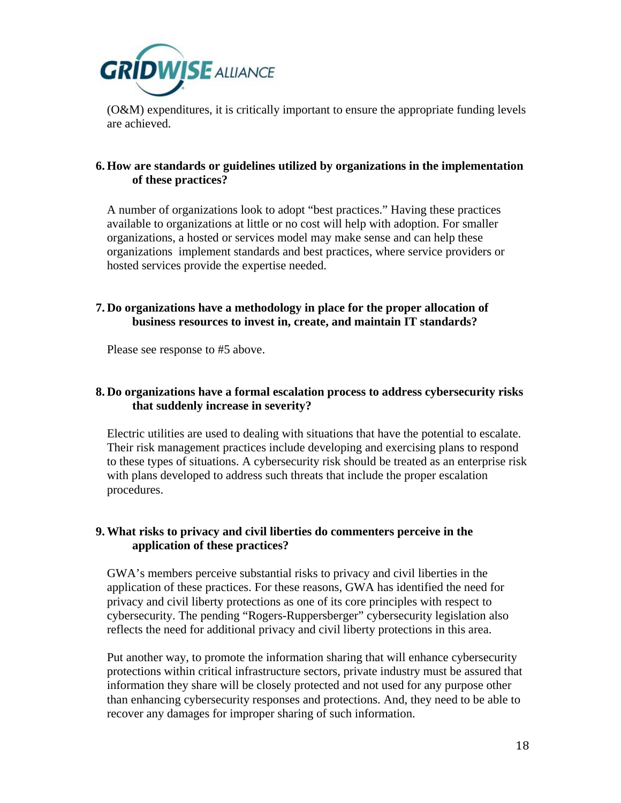

(O&M) expenditures, it is critically important to ensure the appropriate funding levels are achieved.

## **6. How are standards or guidelines utilized by organizations in the implementation of these practices?**

A number of organizations look to adopt "best practices." Having these practices available to organizations at little or no cost will help with adoption. For smaller organizations, a hosted or services model may make sense and can help these organizations implement standards and best practices, where service providers or hosted services provide the expertise needed.

# **7. Do organizations have a methodology in place for the proper allocation of business resources to invest in, create, and maintain IT standards?**

Please see response to #5 above.

# **8. Do organizations have a formal escalation process to address cybersecurity risks that suddenly increase in severity?**

Electric utilities are used to dealing with situations that have the potential to escalate. Their risk management practices include developing and exercising plans to respond to these types of situations. A cybersecurity risk should be treated as an enterprise risk with plans developed to address such threats that include the proper escalation procedures.

# **9.What risks to privacy and civil liberties do commenters perceive in the application of these practices?**

GWA's members perceive substantial risks to privacy and civil liberties in the application of these practices. For these reasons, GWA has identified the need for privacy and civil liberty protections as one of its core principles with respect to cybersecurity. The pending "Rogers-Ruppersberger" cybersecurity legislation also reflects the need for additional privacy and civil liberty protections in this area.

Put another way, to promote the information sharing that will enhance cybersecurity protections within critical infrastructure sectors, private industry must be assured that information they share will be closely protected and not used for any purpose other than enhancing cybersecurity responses and protections. And, they need to be able to recover any damages for improper sharing of such information.